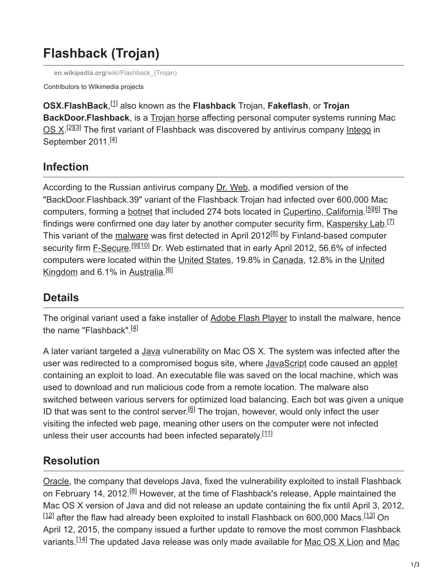# **Flashback (Trojan)**

**en.wikipedia.org**[/wiki/Flashback\\_\(Trojan\)](https://en.wikipedia.org/wiki/Flashback_(Trojan))

Contributors to Wikimedia projects

**OSX.FlashBack**,<sup>[1]</sup> also known as the **Flashback** Trojan, **Fakeflash**, or Trojan **BackDoor.Flashback**, is a [Trojan horse](https://en.wikipedia.org/wiki/Trojan_horse_(computing)) affecting personal computer systems running Mac [OS X.](https://en.wikipedia.org/wiki/MacOS)<sup>[2][3]</sup> The first variant of Flashback was discovered by antivirus company [Intego](https://en.wikipedia.org/wiki/Intego) in September 2011.<sup>[4]</sup>

# **Infection**

According to the Russian antivirus company [Dr. Web,](https://en.wikipedia.org/wiki/Dr._Web) a modified version of the "BackDoor.Flashback.39" variant of the Flashback Trojan had infected over 600,000 Mac computers, forming a [botnet](https://en.wikipedia.org/wiki/Botnet) that included 274 bots located in [Cupertino, California](https://en.wikipedia.org/wiki/Cupertino,_California).<sup>[5][6]</sup> The findings were confirmed one day later by another computer security firm, [Kaspersky Lab.](https://en.wikipedia.org/wiki/Kaspersky_Lab)<sup>[Z]</sup> This variant of the [malware](https://en.wikipedia.org/wiki/Malware) was first detected in April 2012<sup>[8]</sup> by Finland-based computer security firm [F-Secure](https://en.wikipedia.org/wiki/F-Secure).<sup>[9][10]</sup> Dr. Web estimated that in early April 2012, 56.6% of infected [computers were located within the U](https://en.wikipedia.org/wiki/United_Kingdom)[nited States](https://en.wikipedia.org/wiki/United_States)[, 19.8% in C](https://en.wikipedia.org/wiki/United_Kingdom)[anada](https://en.wikipedia.org/wiki/Canada)[, 12.8% in the United](https://en.wikipedia.org/wiki/United_Kingdom) Kingdom and 6.1% in [Australia](https://en.wikipedia.org/wiki/Australia).<sup>[6]</sup>

### **Details**

The original variant used a fake installer of [Adobe Flash Player](https://en.wikipedia.org/wiki/Adobe_Flash_Player) to install the malware, hence the name "Flashback".<sup>[4]</sup>

A later variant targeted a [Java](https://en.wikipedia.org/wiki/Java_(programming_language)) vulnerability on Mac OS X. The system was infected after the user was redirected to a compromised bogus site, where [JavaScript](https://en.wikipedia.org/wiki/JavaScript) code caused an [applet](https://en.wikipedia.org/wiki/Applet) containing an exploit to load. An executable file was saved on the local machine, which was used to download and run malicious code from a remote location. The malware also switched between various servers for optimized load balancing. Each bot was given a unique ID that was sent to the control server.<sup>[6]</sup> The trojan, however, would only infect the user visiting the infected web page, meaning other users on the computer were not infected unless their user accounts had been infected separately.<sup>[11]</sup>

## **Resolution**

[Oracle](https://en.wikipedia.org/wiki/Oracle_Corporation), the company that develops Java, fixed the vulnerability exploited to install Flashback on February 14, 2012.<sup>[8]</sup> However, at the time of Flashback's release, Apple maintained the Mac OS X version of Java and did not release an update containing the fix until April 3, 2012,  $^{[12]}$  after the flaw had already been exploited to install Flashback on 600,000 Macs. $^{[13]}$  On April 12, 2015, the company issued a further update to remove the most common Flashback variants.<sup>[14]</sup> The updated Java release was only made available for Mac OS X Lion and Mac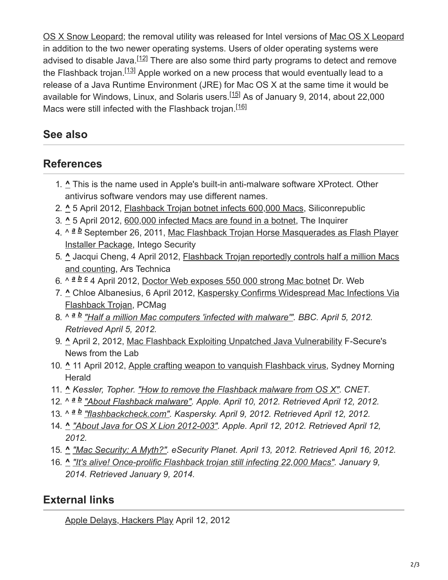[OS X Snow Leopard; the removal utility was released for Intel versions of Mac OS X Leopar](https://en.wikipedia.org/wiki/Mac_OS_X_Snow_Leopard)[d](https://en.wikipedia.org/wiki/Mac_OS_X_Leopard) in addition to the two newer operating systems. Users of older operating systems were advised to disable Java.<sup>[12]</sup> There are also some third party programs to detect and remove the Flashback trojan.<sup>[13]</sup> Apple worked on a new process that would eventually lead to a release of a Java Runtime Environment (JRE) for Mac OS X at the same time it would be available for Windows, Linux, and Solaris users.<sup>[15]</sup> As of January 9, 2014, about 22,000 Macs were still infected with the Flashback trojan.<sup>[16]</sup>

#### **See also**

#### **References**

- 1. **^** This is the name used in Apple's built-in anti-malware software XProtect. Other antivirus software vendors may use different names.
- 2. **^** 5 April 2012, [Flashback Trojan botnet infects 600,000 Macs](http://www.siliconrepublic.com/strategy/item/26580-flashback-trojan-botnet/), Siliconrepublic
- 3. **^** 5 April 2012, [600,000 infected Macs are found in a botnet](https://web.archive.org/web/20120407022616/http://www.theinquirer.net/inquirer/news/2166228/600-infected-macs-botnet), The Inquirer
- 4. ^ <sup>a b</sup> September 26, 2011, Mac Flashback Trojan Horse Masquerades as Flash Player Installer Package, Intego Security
- 5. **^** [Jacqui Cheng, 4 April 2012, Flashback Trojan reportedly controls half a million Macs](https://arstechnica.com/apple/news/2012/04/flashback-trojan-reportedly-controls-half-a-million-macs-and-counting.ars) and counting, Ars Technica
- 6. ^  $a b c 4$  April 2012, [Doctor Web exposes 550 000 strong Mac botnet](http://news.drweb.com/show/?i=2341&lng=en&c=14) Dr. Web
- 7. **^** [Chloe Albanesius, 6 April 2012, Kaspersky Confirms Widespread Mac Infections Via](https://www.pcmag.com/article2/0,2817,2402715,00.asp) Flashback Trojan, PCMag
- 8. ^ <sup>a b</sup> ["Half a million Mac computers 'infected with malware'".](https://www.bbc.co.uk/news/science-environment-17623422) BBC. April 5, 2012. *Retrieved April 5, 2012.*
- 9. **^** April 2, 2012, [Mac Flashback Exploiting Unpatched Java Vulnerability](http://www.f-secure.com/weblog/archives/00002341.html) F-Secure's News from the Lab
- 10. **^** 11 April 2012, [Apple crafting weapon to vanquish Flashback virus,](http://m.smh.com.au/digital-life/consumer-security/apple-crafting-weapon-to-vanquish-flashback-virus-20120411-1wpwl.html) Sydney Morning **Herald**
- 11. **^** *Kessler, Topher. ["How to remove the Flashback malware from OS X".](https://www.cnet.com/how-to/how-to-remove-the-flashback-malware-from-os-x/) CNET.*
- 12. ^ <sup>a</sup> **b** ["About Flashback malware".](https://support.apple.com/kb/HT5244) Apple. April 10, 2012. Retrieved April 12, 2012.
- 13. ^ <sup>a</sup> **b** ["flashbackcheck.com".](http://flashbackcheck.com/) Kaspersky. April 9, 2012. Retrieved April 12, 2012.
- 14. **^** *["About Java for OS X Lion 2012-003"](https://support.apple.com/kb/HT5242). Apple. April 12, 2012. Retrieved April 12, 2012.*
- 15. **^** *["Mac Security: A Myth?".](http://www.esecurityplanet.com/mac-os-security/mac-security-a-myth-flashback-trojan-java-malware.html) eSecurity Planet. April 13, 2012. Retrieved April 16, 2012.*
- 16. **^** *["It's alive! Once-prolific Flashback trojan still infecting 22,000 Macs".](https://arstechnica.com/security/2014/01/its-alive-once-prolific-flashback-trojan-still-infecting-22000-macs/) January 9, 2014. Retrieved January 9, 2014.*

### **External links**

[Apple Delays, Hackers Play](http://www.businessweek.com/articles/2012-04-12/apple-delays-hackers-play) April 12, 2012